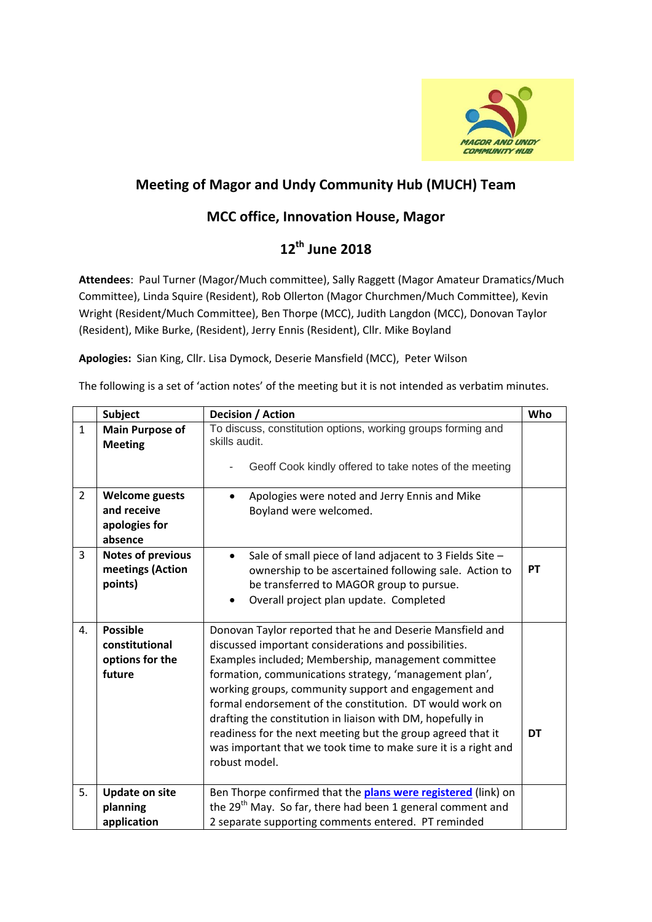

## **Meeting of Magor and Undy Community Hub (MUCH) Team**

## **MCC office, Innovation House, Magor**

## **12 th June 2018**

**Attendees**: Paul Turner (Magor/Much committee), Sally Raggett (Magor Amateur Dramatics/Much Committee), Linda Squire (Resident), Rob Ollerton (Magor Churchmen/Much Committee), Kevin Wright (Resident/Much Committee), Ben Thorpe (MCC), Judith Langdon (MCC), Donovan Taylor (Resident), Mike Burke, (Resident), Jerry Ennis (Resident), Cllr. Mike Boyland

**Apologies:** Sian King, Cllr. Lisa Dymock, Deserie Mansfield (MCC), Peter Wilson

The following is a set of 'action notes' of the meeting but it is not intended as verbatim minutes.

|                | <b>Subject</b>                           | <b>Decision / Action</b>                                                      | Who |
|----------------|------------------------------------------|-------------------------------------------------------------------------------|-----|
| $\mathbf{1}$   | <b>Main Purpose of</b><br><b>Meeting</b> | To discuss, constitution options, working groups forming and<br>skills audit. |     |
|                |                                          | Geoff Cook kindly offered to take notes of the meeting                        |     |
| $\overline{2}$ | <b>Welcome guests</b>                    | Apologies were noted and Jerry Ennis and Mike                                 |     |
|                | and receive                              | Boyland were welcomed.                                                        |     |
|                | apologies for                            |                                                                               |     |
|                | absence                                  |                                                                               |     |
| 3              | <b>Notes of previous</b>                 | Sale of small piece of land adjacent to 3 Fields Site -<br>$\bullet$          |     |
|                | meetings (Action<br>points)              | ownership to be ascertained following sale. Action to                         | PT  |
|                |                                          | be transferred to MAGOR group to pursue.                                      |     |
|                |                                          | Overall project plan update. Completed                                        |     |
| 4.             | <b>Possible</b>                          | Donovan Taylor reported that he and Deserie Mansfield and                     |     |
|                | constitutional                           | discussed important considerations and possibilities.                         |     |
|                | options for the                          | Examples included; Membership, management committee                           |     |
|                | future                                   | formation, communications strategy, 'management plan',                        |     |
|                |                                          | working groups, community support and engagement and                          |     |
|                |                                          | formal endorsement of the constitution. DT would work on                      |     |
|                |                                          | drafting the constitution in liaison with DM, hopefully in                    |     |
|                |                                          | readiness for the next meeting but the group agreed that it                   | DT  |
|                |                                          | was important that we took time to make sure it is a right and                |     |
|                |                                          | robust model.                                                                 |     |
| 5.             | <b>Update on site</b>                    | Ben Thorpe confirmed that the <b>plans were registered</b> (link) on          |     |
|                | planning                                 | the 29 <sup>th</sup> May. So far, there had been 1 general comment and        |     |
|                | application                              | 2 separate supporting comments entered. PT reminded                           |     |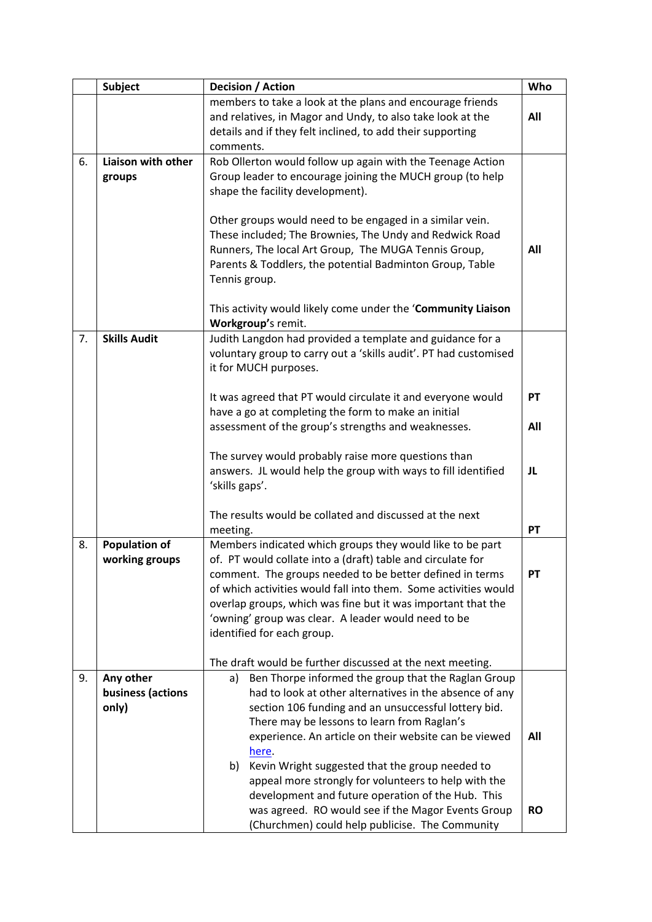|    | <b>Subject</b>                          | Decision / Action                                                                                                                                                                                                                                                                                                                                                                                            | Who       |
|----|-----------------------------------------|--------------------------------------------------------------------------------------------------------------------------------------------------------------------------------------------------------------------------------------------------------------------------------------------------------------------------------------------------------------------------------------------------------------|-----------|
|    |                                         | members to take a look at the plans and encourage friends<br>and relatives, in Magor and Undy, to also take look at the<br>details and if they felt inclined, to add their supporting<br>comments.                                                                                                                                                                                                           | All       |
| 6. | Liaison with other<br>groups            | Rob Ollerton would follow up again with the Teenage Action<br>Group leader to encourage joining the MUCH group (to help<br>shape the facility development).<br>Other groups would need to be engaged in a similar vein.<br>These included; The Brownies, The Undy and Redwick Road<br>Runners, The local Art Group, The MUGA Tennis Group,                                                                   | All       |
|    |                                         | Parents & Toddlers, the potential Badminton Group, Table<br>Tennis group.<br>This activity would likely come under the 'Community Liaison<br>Workgroup's remit.                                                                                                                                                                                                                                              |           |
| 7. | <b>Skills Audit</b>                     | Judith Langdon had provided a template and guidance for a<br>voluntary group to carry out a 'skills audit'. PT had customised<br>it for MUCH purposes.                                                                                                                                                                                                                                                       |           |
|    |                                         | It was agreed that PT would circulate it and everyone would<br>have a go at completing the form to make an initial<br>assessment of the group's strengths and weaknesses.                                                                                                                                                                                                                                    | PT<br>All |
|    |                                         | The survey would probably raise more questions than<br>answers. JL would help the group with ways to fill identified<br>'skills gaps'.                                                                                                                                                                                                                                                                       | JL        |
|    |                                         | The results would be collated and discussed at the next<br>meeting.                                                                                                                                                                                                                                                                                                                                          | PT        |
| 8. | <b>Population of</b><br>working groups  | Members indicated which groups they would like to be part<br>of. PT would collate into a (draft) table and circulate for<br>comment. The groups needed to be better defined in terms<br>of which activities would fall into them. Some activities would<br>overlap groups, which was fine but it was important that the<br>'owning' group was clear. A leader would need to be<br>identified for each group. | PT        |
|    |                                         | The draft would be further discussed at the next meeting.                                                                                                                                                                                                                                                                                                                                                    |           |
| 9. | Any other<br>business (actions<br>only) | Ben Thorpe informed the group that the Raglan Group<br>a)<br>had to look at other alternatives in the absence of any<br>section 106 funding and an unsuccessful lottery bid.<br>There may be lessons to learn from Raglan's<br>experience. An article on their website can be viewed<br>here.                                                                                                                | All       |
|    |                                         | Kevin Wright suggested that the group needed to<br>b)<br>appeal more strongly for volunteers to help with the<br>development and future operation of the Hub. This<br>was agreed. RO would see if the Magor Events Group<br>(Churchmen) could help publicise. The Community                                                                                                                                  | <b>RO</b> |